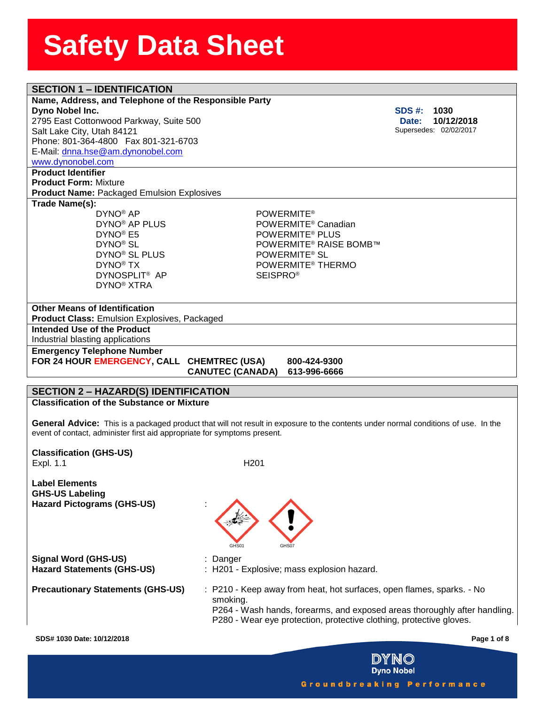| <b>SECTION 1 - IDENTIFICATION</b>                                        |                                                                                                                                    |                        |  |  |  |
|--------------------------------------------------------------------------|------------------------------------------------------------------------------------------------------------------------------------|------------------------|--|--|--|
| Name, Address, and Telephone of the Responsible Party                    |                                                                                                                                    |                        |  |  |  |
| Dyno Nobel Inc.                                                          |                                                                                                                                    | <b>SDS #:</b><br>1030  |  |  |  |
| 2795 East Cottonwood Parkway, Suite 500                                  |                                                                                                                                    | 10/12/2018<br>Date:    |  |  |  |
| Salt Lake City, Utah 84121                                               |                                                                                                                                    | Supersedes: 02/02/2017 |  |  |  |
| Phone: 801-364-4800  Fax 801-321-6703                                    |                                                                                                                                    |                        |  |  |  |
| E-Mail: dnna.hse@am.dynonobel.com                                        |                                                                                                                                    |                        |  |  |  |
| www.dynonobel.com                                                        |                                                                                                                                    |                        |  |  |  |
| <b>Product Identifier</b>                                                |                                                                                                                                    |                        |  |  |  |
| <b>Product Form: Mixture</b>                                             |                                                                                                                                    |                        |  |  |  |
| <b>Product Name: Packaged Emulsion Explosives</b>                        |                                                                                                                                    |                        |  |  |  |
| Trade Name(s):<br>DYNO <sup>®</sup> AP                                   | <b>POWERMITE®</b>                                                                                                                  |                        |  |  |  |
| DYNO <sup>®</sup> AP PLUS                                                | POWERMITE <sup>®</sup> Canadian                                                                                                    |                        |  |  |  |
| DYNO <sup>®</sup> E5                                                     | POWERMITE <sup>®</sup> PLUS                                                                                                        |                        |  |  |  |
| DYNO <sup>®</sup> SL                                                     | <b>POWERMITE® RAISE BOMB™</b>                                                                                                      |                        |  |  |  |
| DYNO <sup>®</sup> SL PLUS                                                | POWERMITE <sup>®</sup> SL                                                                                                          |                        |  |  |  |
| DYNO <sup>®</sup> TX                                                     | POWERMITE <sup>®</sup> THERMO                                                                                                      |                        |  |  |  |
| DYNOSPLIT <sup>®</sup> AP                                                | <b>SEISPRO®</b>                                                                                                                    |                        |  |  |  |
| DYNO <sup>®</sup> XTRA                                                   |                                                                                                                                    |                        |  |  |  |
|                                                                          |                                                                                                                                    |                        |  |  |  |
| <b>Other Means of Identification</b>                                     |                                                                                                                                    |                        |  |  |  |
| <b>Product Class: Emulsion Explosives, Packaged</b>                      |                                                                                                                                    |                        |  |  |  |
| Intended Use of the Product                                              |                                                                                                                                    |                        |  |  |  |
| Industrial blasting applications                                         |                                                                                                                                    |                        |  |  |  |
| <b>Emergency Telephone Number</b>                                        |                                                                                                                                    |                        |  |  |  |
| FOR 24 HOUR EMERGENCY, CALL CHEMTREC (USA)                               | 800-424-9300                                                                                                                       |                        |  |  |  |
|                                                                          | <b>CANUTEC (CANADA)</b><br>613-996-6666                                                                                            |                        |  |  |  |
|                                                                          |                                                                                                                                    |                        |  |  |  |
| <b>SECTION 2 - HAZARD(S) IDENTIFICATION</b>                              |                                                                                                                                    |                        |  |  |  |
| <b>Classification of the Substance or Mixture</b>                        |                                                                                                                                    |                        |  |  |  |
|                                                                          |                                                                                                                                    |                        |  |  |  |
|                                                                          | General Advice: This is a packaged product that will not result in exposure to the contents under normal conditions of use. In the |                        |  |  |  |
| event of contact, administer first aid appropriate for symptoms present. |                                                                                                                                    |                        |  |  |  |
| <b>Classification (GHS-US)</b>                                           |                                                                                                                                    |                        |  |  |  |
| Expl. 1.1                                                                | H <sub>201</sub>                                                                                                                   |                        |  |  |  |
|                                                                          |                                                                                                                                    |                        |  |  |  |
| <b>Label Elements</b>                                                    |                                                                                                                                    |                        |  |  |  |
| <b>GHS-US Labeling</b>                                                   |                                                                                                                                    |                        |  |  |  |
| <b>Hazard Pictograms (GHS-US)</b>                                        |                                                                                                                                    |                        |  |  |  |
|                                                                          |                                                                                                                                    |                        |  |  |  |
|                                                                          |                                                                                                                                    |                        |  |  |  |
|                                                                          |                                                                                                                                    |                        |  |  |  |
|                                                                          | GHS01                                                                                                                              |                        |  |  |  |
| <b>Signal Word (GHS-US)</b>                                              | : Danger                                                                                                                           |                        |  |  |  |
| <b>Hazard Statements (GHS-US)</b>                                        | : H201 - Explosive; mass explosion hazard.                                                                                         |                        |  |  |  |
|                                                                          |                                                                                                                                    |                        |  |  |  |
| <b>Precautionary Statements (GHS-US)</b>                                 | : P210 - Keep away from heat, hot surfaces, open flames, sparks. - No                                                              |                        |  |  |  |
|                                                                          |                                                                                                                                    |                        |  |  |  |
|                                                                          |                                                                                                                                    |                        |  |  |  |
|                                                                          | smoking.                                                                                                                           |                        |  |  |  |
|                                                                          | P264 - Wash hands, forearms, and exposed areas thoroughly after handling.                                                          |                        |  |  |  |
|                                                                          | P280 - Wear eye protection, protective clothing, protective gloves.                                                                |                        |  |  |  |

**DYNO**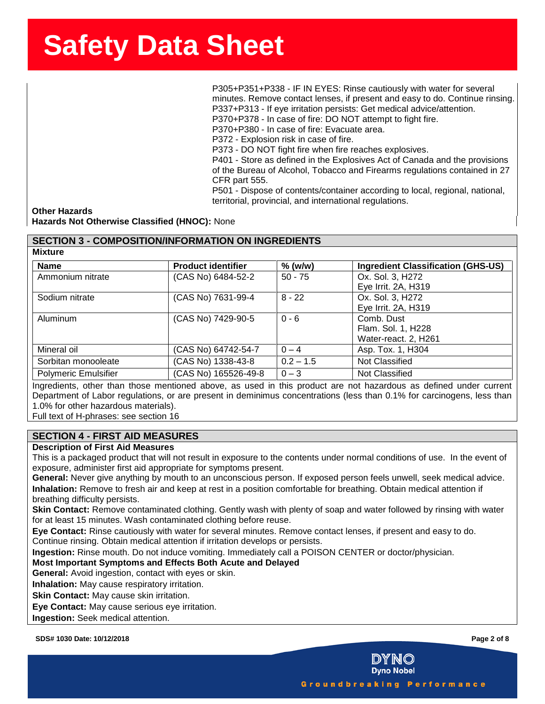ssense in the state of the state of the state of the SSS and the P305+P351+P338 - IF IN EYES: Rinse cautiously with water for several minutes. Remove contact lenses, if present and easy to do. Continue rinsing. P337+P313 - If eye irritation persists: Get medical advice/attention. P370+P378 - In case of fire: DO NOT attempt to fight fire.

P370+P380 - In case of fire: Evacuate area.

P372 - Explosion risk in case of fire.

P373 - DO NOT fight fire when fire reaches explosives.

P401 - Store as defined in the Explosives Act of Canada and the provisions of the Bureau of Alcohol, Tobacco and Firearms regulations contained in 27 CFR part 555.

P501 - Dispose of contents/container according to local, regional, national, territorial, provincial, and international regulations.

**Other Hazards Hazards Not Otherwise Classified (HNOC):** None

# **SECTION 3 - COMPOSITION/INFORMATION ON INGREDIENTS**

**Mixture**

| <b>Name</b>                 | <b>Product identifier</b> | $%$ (w/w)   | <b>Ingredient Classification (GHS-US)</b> |
|-----------------------------|---------------------------|-------------|-------------------------------------------|
| Ammonium nitrate            | (CAS No) 6484-52-2        | $50 - 75$   | Ox. Sol. 3, H272                          |
|                             |                           |             | Eye Irrit. 2A, H319                       |
| Sodium nitrate              | (CAS No) 7631-99-4        | $8 - 22$    | Ox. Sol. 3, H272                          |
|                             |                           |             | Eye Irrit. 2A, H319                       |
| Aluminum                    | (CAS No) 7429-90-5        | $0 - 6$     | Comb. Dust                                |
|                             |                           |             | Flam. Sol. 1, H228                        |
|                             |                           |             | Water-react. 2, H261                      |
| Mineral oil                 | (CAS No) 64742-54-7       | $0 - 4$     | Asp. Tox. 1, H304                         |
| Sorbitan monooleate         | (CAS No) 1338-43-8        | $0.2 - 1.5$ | Not Classified                            |
| <b>Polymeric Emulsifier</b> | (CAS No) 165526-49-8      | $0 - 3$     | Not Classified                            |

Ingredients, other than those mentioned above, as used in this product are not hazardous as defined under current Department of Labor regulations, or are present in deminimus concentrations (less than 0.1% for carcinogens, less than 1.0% for other hazardous materials).

Full text of H-phrases: see section 16

# **SECTION 4 - FIRST AID MEASURES**

### **Description of First Aid Measures**

This is a packaged product that will not result in exposure to the contents under normal conditions of use. In the event of exposure, administer first aid appropriate for symptoms present.

**General:** Never give anything by mouth to an unconscious person. If exposed person feels unwell, seek medical advice. **Inhalation:** Remove to fresh air and keep at rest in a position comfortable for breathing. Obtain medical attention if breathing difficulty persists.

**Skin Contact:** Remove contaminated clothing. Gently wash with plenty of soap and water followed by rinsing with water for at least 15 minutes. Wash contaminated clothing before reuse.

**Eye Contact:** Rinse cautiously with water for several minutes. Remove contact lenses, if present and easy to do.

Continue rinsing. Obtain medical attention if irritation develops or persists.

**Ingestion:** Rinse mouth. Do not induce vomiting. Immediately call a POISON CENTER or doctor/physician.

## **Most Important Symptoms and Effects Both Acute and Delayed**

**General:** Avoid ingestion, contact with eyes or skin.

**Inhalation:** May cause respiratory irritation.

**Skin Contact:** May cause skin irritation.

**Eye Contact:** May cause serious eye irritation.

**Ingestion:** Seek medical attention.

**SDS# 1030 Date: 10/12/2018 Page 2 of 8**



**Dyno Nobel** 

Groundbreaking Performance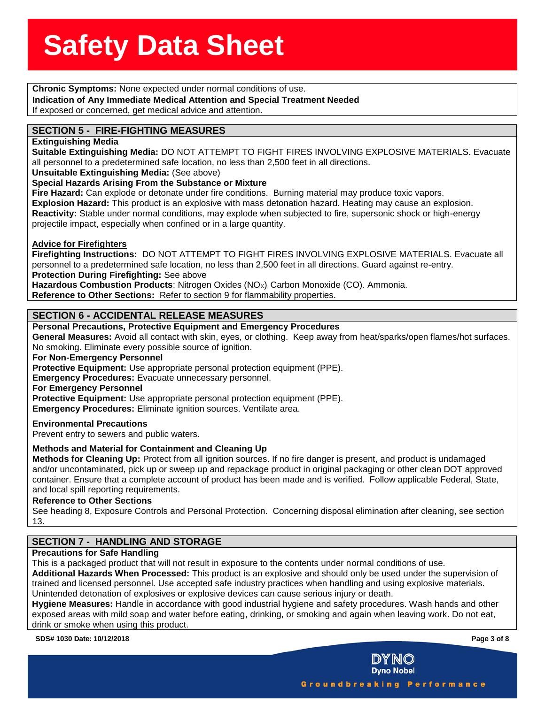**Solid Chronic Symptoms:** None expected under normal conditions of use.<br>**Chronic Symptoms:** None expected under normal conditions of use. **eeSheet Indication of Any Immediate Medical Attention and Special Treatment Needed** If exposed or concerned, get medical advice and attention.

# **SECTION 5 - FIRE-FIGHTING MEASURES**

### **Extinguishing Media**

**Suitable Extinguishing Media:** DO NOT ATTEMPT TO FIGHT FIRES INVOLVING EXPLOSIVE MATERIALS. Evacuate all personnel to a predetermined safe location, no less than 2,500 feet in all directions.

**Unsuitable Extinguishing Media:** (See above)

### **Special Hazards Arising From the Substance or Mixture**

**Fire Hazard:** Can explode or detonate under fire conditions. Burning material may produce toxic vapors. **Explosion Hazard:** This product is an explosive with mass detonation hazard. Heating may cause an explosion. **Reactivity:** Stable under normal conditions, may explode when subjected to fire, supersonic shock or high-energy projectile impact, especially when confined or in a large quantity.

### **Advice for Firefighters**

**Firefighting Instructions:** DO NOT ATTEMPT TO FIGHT FIRES INVOLVING EXPLOSIVE MATERIALS. Evacuate all personnel to a predetermined safe location, no less than 2,500 feet in all directions. Guard against re-entry. **Protection During Firefighting:** See above

Hazardous Combustion Products: Nitrogen Oxides (NO<sub>X</sub>), Carbon Monoxide (CO). Ammonia.

**Reference to Other Sections:** Refer to section 9 for flammability properties.

## **SECTION 6 - ACCIDENTAL RELEASE MEASURES**

### **Personal Precautions, Protective Equipment and Emergency Procedures**

**General Measures:** Avoid all contact with skin, eyes, or clothing. Keep away from heat/sparks/open flames/hot surfaces. No smoking. Eliminate every possible source of ignition.

### **For Non-Emergency Personnel**

**Protective Equipment:** Use appropriate personal protection equipment (PPE).

**Emergency Procedures:** Evacuate unnecessary personnel.

### **For Emergency Personnel**

**Protective Equipment:** Use appropriate personal protection equipment (PPE).

**Emergency Procedures:** Eliminate ignition sources. Ventilate area.

### **Environmental Precautions**

Prevent entry to sewers and public waters.

## **Methods and Material for Containment and Cleaning Up**

**Methods for Cleaning Up:** Protect from all ignition sources. If no fire danger is present, and product is undamaged and/or uncontaminated, pick up or sweep up and repackage product in original packaging or other clean DOT approved container. Ensure that a complete account of product has been made and is verified. Follow applicable Federal, State, and local spill reporting requirements.

### **Reference to Other Sections**

See heading 8, Exposure Controls and Personal Protection. Concerning disposal elimination after cleaning, see section 13.

# **SECTION 7 - HANDLING AND STORAGE**

## **Precautions for Safe Handling**

This is a packaged product that will not result in exposure to the contents under normal conditions of use.

**Additional Hazards When Processed:** This product is an explosive and should only be used under the supervision of trained and licensed personnel. Use accepted safe industry practices when handling and using explosive materials. Unintended detonation of explosives or explosive devices can cause serious injury or death.

**Hygiene Measures:** Handle in accordance with good industrial hygiene and safety procedures. Wash hands and other exposed areas with mild soap and water before eating, drinking, or smoking and again when leaving work. Do not eat, drink or smoke when using this product.

**SDS# 1030 Date: 10/12/2018 Page 3 of 8**



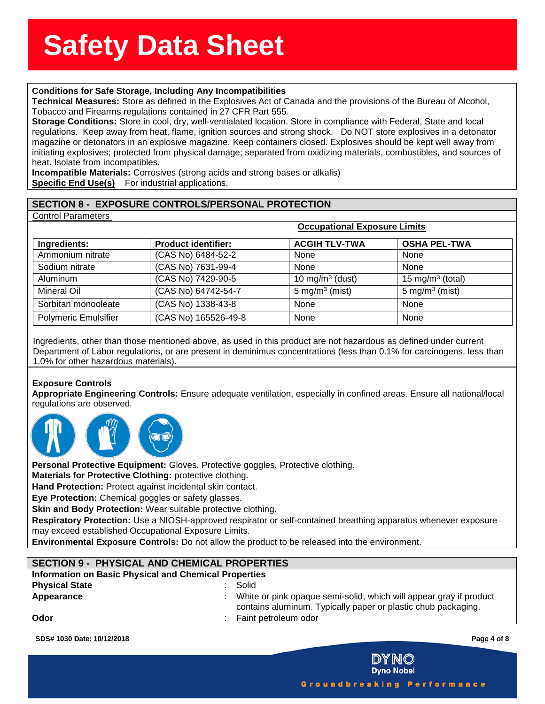# **ssssSSherrSheetSSh Conditions for Safe Storage, Including Any Incompatibilities**

**Technical Measures:** Store as defined in the Explosives Act of Canada and the provisions of the Bureau of Alcohol<br>Tobacco and Firearms regulations contained in 27 CFR Part 555.<br>**Storage Conditions:** Store in cool, dry, we **Technical Measures:** Store as defined in the Explosives Act of Canada and the provisions of the Bureau of Alcohol, Tobacco and Firearms regulations contained in 27 CFR Part 555.

regulations. Keep away from heat, flame, ignition sources and strong shock. Do NOT store explosives in a detonator magazine or detonators in an explosive magazine. Keep containers closed. Explosives should be kept well away from initiating explosives; protected from physical damage; separated from oxidizing materials, combustibles, and sources of heat. Isolate from incompatibles.

**Incompatible Materials:** Corrosives (strong acids and strong bases or alkalis) **Specific End Use(s)** For industrial applications.

# **SECTION 8 - EXPOSURE CONTROLS/PERSONAL PROTECTION**

Control Parameters

|                             | Occupational Exposure Limits |                      |                              |
|-----------------------------|------------------------------|----------------------|------------------------------|
| Ingredients:                | <b>Product identifier:</b>   | <b>ACGIH TLV-TWA</b> | <b>OSHA PEL-TWA</b>          |
| Ammonium nitrate            | (CAS No) 6484-52-2           | None                 | None                         |
| Sodium nitrate              | (CAS No) 7631-99-4           | None                 | None                         |
| Aluminum                    | (CAS No) 7429-90-5           | 10 mg/m $3$ (dust)   | 15 mg/m <sup>3</sup> (total) |
| Mineral Oil                 | (CAS No) 64742-54-7          | 5 mg/m $3$ (mist)    | 5 mg/m <sup>3</sup> (mist)   |
| Sorbitan monooleate         | (CAS No) 1338-43-8           | <b>None</b>          | None                         |
| <b>Polymeric Emulsifier</b> | (CAS No) 165526-49-8         | None                 | None                         |

 **Occupational Exposure Limits**

Ingredients, other than those mentioned above, as used in this product are not hazardous as defined under current Department of Labor regulations, or are present in deminimus concentrations (less than 0.1% for carcinogens, less than 1.0% for other hazardous materials).

## **Exposure Controls**

**Appropriate Engineering Controls:** Ensure adequate ventilation, especially in confined areas. Ensure all national/local regulations are observed.



Personal Protective Equipment: Gloves. Protective goggles. Protective clothing.

**Materials for Protective Clothing:** protective clothing.

**Hand Protection:** Protect against incidental skin contact.

**Eye Protection:** Chemical goggles or safety glasses.

**Skin and Body Protection:** Wear suitable protective clothing.

**Respiratory Protection:** Use a NIOSH-approved respirator or self-contained breathing apparatus whenever exposure may exceed established Occupational Exposure Limits.

**Environmental Exposure Controls:** Do not allow the product to be released into the environment.

# **SECTION 9 - PHYSICAL AND CHEMICAL PROPERTIES Information on Basic Physical and Chemical Properties**

| <b>Physical State</b> | Solid                                                              |
|-----------------------|--------------------------------------------------------------------|
| Appearance            | White or pink opaque semi-solid, which will appear gray if product |
|                       | contains aluminum. Typically paper or plastic chub packaging.      |
| Odor                  | Faint petroleum odor                                               |

**SDS# 1030 Date: 10/12/2018 Page 4 of 8**

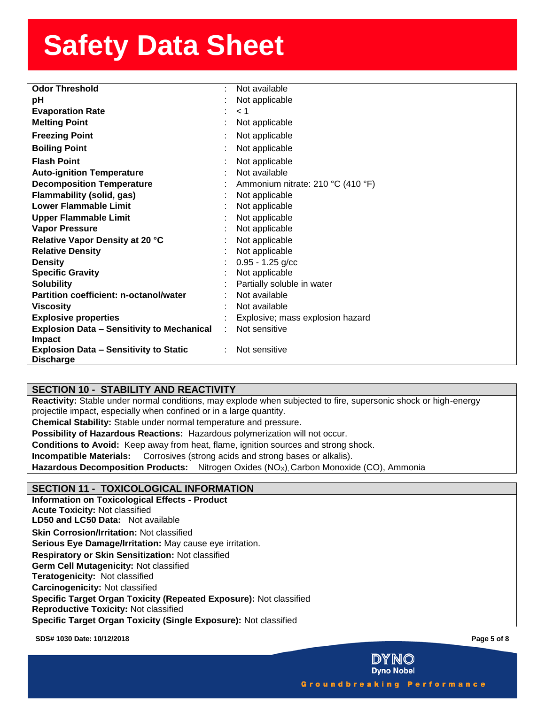| <b>Odor Threshold</b>                                              | Not available                     |
|--------------------------------------------------------------------|-----------------------------------|
| рH                                                                 | Not applicable                    |
| <b>Evaporation Rate</b>                                            | < 1                               |
| <b>Melting Point</b>                                               | Not applicable                    |
| <b>Freezing Point</b>                                              | Not applicable                    |
| <b>Boiling Point</b>                                               | Not applicable                    |
| <b>Flash Point</b>                                                 | Not applicable                    |
| <b>Auto-ignition Temperature</b>                                   | Not available                     |
| <b>Decomposition Temperature</b>                                   | Ammonium nitrate: 210 °C (410 °F) |
| <b>Flammability (solid, gas)</b>                                   | Not applicable                    |
| <b>Lower Flammable Limit</b>                                       | Not applicable                    |
| <b>Upper Flammable Limit</b>                                       | Not applicable                    |
| <b>Vapor Pressure</b>                                              | Not applicable                    |
| Relative Vapor Density at 20 °C                                    | Not applicable                    |
| <b>Relative Density</b>                                            | Not applicable                    |
| <b>Density</b>                                                     | $0.95 - 1.25$ g/cc                |
| <b>Specific Gravity</b>                                            | Not applicable                    |
| <b>Solubility</b>                                                  | Partially soluble in water        |
| Partition coefficient: n-octanol/water                             | Not available                     |
| <b>Viscosity</b>                                                   | Not available                     |
| <b>Explosive properties</b>                                        | Explosive; mass explosion hazard  |
| <b>Explosion Data - Sensitivity to Mechanical</b><br><b>Impact</b> | Not sensitive                     |
| <b>Explosion Data - Sensitivity to Static</b><br><b>Discharge</b>  | Not sensitive                     |

# **SECTION 10 - STABILITY AND REACTIVITY**

**Reactivity:** Stable under normal conditions, may explode when subjected to fire, supersonic shock or high-energy projectile impact, especially when confined or in a large quantity.

**Chemical Stability:** Stable under normal temperature and pressure.

**Possibility of Hazardous Reactions:** Hazardous polymerization will not occur.

**Conditions to Avoid:** Keep away from heat, flame, ignition sources and strong shock.

**Incompatible Materials:** Corrosives (strong acids and strong bases or alkalis).

**Hazardous Decomposition Products:** Nitrogen Oxides (NO<sub>x</sub>), Carbon Monoxide (CO), Ammonia

## **SECTION 11 - TOXICOLOGICAL INFORMATION**

**Information on Toxicological Effects - Product Acute Toxicity:** Not classified **LD50 and LC50 Data:** Not available**Skin Corrosion/Irritation:** Not classified **Serious Eye Damage/Irritation:** May cause eye irritation. **Respiratory or Skin Sensitization:** Not classified **Germ Cell Mutagenicity:** Not classified **Teratogenicity:** Not classified**Carcinogenicity:** Not classified **Specific Target Organ Toxicity (Repeated Exposure):** Not classified **Reproductive Toxicity:** Not classified **Specific Target Organ Toxicity (Single Exposure):** Not classified

**SDS# 1030 Date: 10/12/2018 Page 5 of 8**



Groundbreaking Performance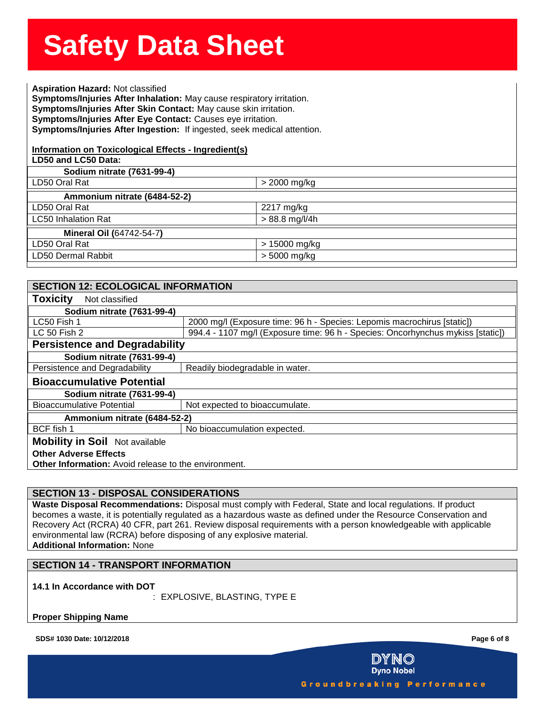**Solution State State State State State State State State State State State State State State State State State**<br><br>Aspiration Hazard: Not classified Symptoms/injuries After Innalation: May cause respiratory irritation.<br>Symptoms/Injuries After Skin Contact: May cause skin irritation.<br>Symptoms/Injuries After Eye Contact: Causes eye irritation. **Symptoms/Injuries After Inhalation:** May cause respiratory irritation. **Symptoms/Injuries After Eye Contact:** Causes eye irritation. **Symptoms/Injuries After Ingestion:** If ingested, seek medical attention.

## **Information on Toxicological Effects - Ingredient(s)**

| LD50 and LC50 Data:             |                  |
|---------------------------------|------------------|
| Sodium nitrate (7631-99-4)      |                  |
| LD50 Oral Rat                   | > 2000 mg/kg     |
| Ammonium nitrate (6484-52-2)    |                  |
| LD50 Oral Rat                   | 2217 mg/kg       |
| <b>LC50 Inhalation Rat</b>      | $> 88.8$ mg/l/4h |
| <b>Mineral Oil (64742-54-7)</b> |                  |
| LD50 Oral Rat                   | > 15000 mg/kg    |
| LD50 Dermal Rabbit              | > 5000 mg/kg     |
|                                 |                  |

| <b>SECTION 12: ECOLOGICAL INFORMATION</b>                                                   |                                                                                 |  |  |  |  |  |
|---------------------------------------------------------------------------------------------|---------------------------------------------------------------------------------|--|--|--|--|--|
| <b>Toxicity</b><br>Not classified                                                           |                                                                                 |  |  |  |  |  |
| Sodium nitrate (7631-99-4)                                                                  |                                                                                 |  |  |  |  |  |
| LC50 Fish 1                                                                                 | 2000 mg/l (Exposure time: 96 h - Species: Lepomis macrochirus [static])         |  |  |  |  |  |
| LC 50 Fish 2                                                                                | 994.4 - 1107 mg/l (Exposure time: 96 h - Species: Oncorhynchus mykiss [static]) |  |  |  |  |  |
|                                                                                             | <b>Persistence and Degradability</b>                                            |  |  |  |  |  |
| Sodium nitrate (7631-99-4)                                                                  |                                                                                 |  |  |  |  |  |
| Persistence and Degradability                                                               | Readily biodegradable in water.                                                 |  |  |  |  |  |
| <b>Bioaccumulative Potential</b>                                                            |                                                                                 |  |  |  |  |  |
| Sodium nitrate (7631-99-4)                                                                  |                                                                                 |  |  |  |  |  |
| <b>Bioaccumulative Potential</b><br>Not expected to bioaccumulate.                          |                                                                                 |  |  |  |  |  |
| Ammonium nitrate (6484-52-2)                                                                |                                                                                 |  |  |  |  |  |
| BCF fish 1                                                                                  | No bioaccumulation expected.                                                    |  |  |  |  |  |
| <b>Mobility in Soil</b> Not available                                                       |                                                                                 |  |  |  |  |  |
| <b>Other Adverse Effects</b><br><b>Other Information:</b> Avoid release to the environment. |                                                                                 |  |  |  |  |  |

## **SECTION 13 - DISPOSAL CONSIDERATIONS**

**Waste Disposal Recommendations:** Disposal must comply with Federal, State and local regulations. If product becomes a waste, it is potentially regulated as a hazardous waste as defined under the Resource Conservation and Recovery Act (RCRA) 40 CFR, part 261. Review disposal requirements with a person knowledgeable with applicable environmental law (RCRA) before disposing of any explosive material. **Additional Information:** None

## **SECTION 14 - TRANSPORT INFORMATION**

**14.1 In Accordance with DOT**

: EXPLOSIVE, BLASTING, TYPE E

**Proper Shipping Name** 

**SDS# 1030 Date: 10/12/2018 Page 6 of 8**

**Dyno Nobel** Groundbreaking Performance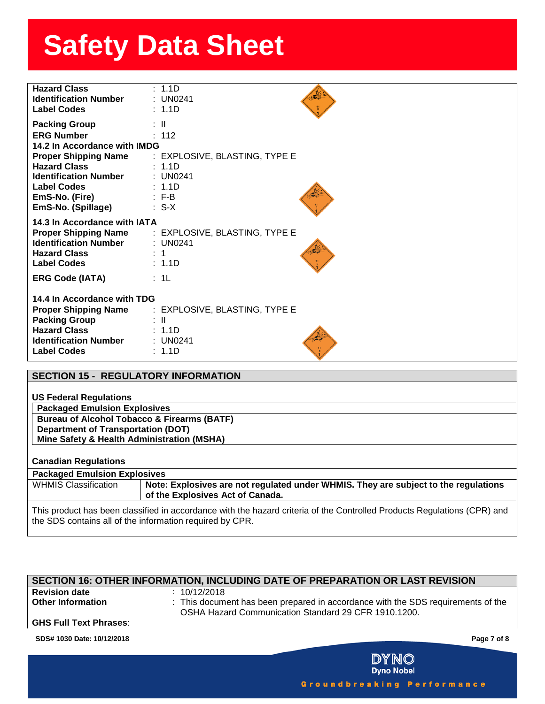| <b>Hazard Class</b><br><b>Identification Number</b><br><b>Label Codes</b>                                                                                                                                                     | : 1.1D<br>$:$ UN0241<br>: 1.1D                                                                                    |
|-------------------------------------------------------------------------------------------------------------------------------------------------------------------------------------------------------------------------------|-------------------------------------------------------------------------------------------------------------------|
| <b>Packing Group</b><br><b>ERG Number</b><br>14.2 In Accordance with IMDG<br><b>Proper Shipping Name</b><br><b>Hazard Class</b><br><b>Identification Number</b><br><b>Label Codes</b><br>EmS-No. (Fire)<br>EmS-No. (Spillage) | $\pm$ 11<br>: 112<br>: EXPLOSIVE, BLASTING, TYPE E<br>: 1.1D<br>: UN0241<br>: 1.1D<br>$\therefore$ F-B<br>$: S-X$ |
| 14.3 In Accordance with IATA<br><b>Proper Shipping Name</b><br><b>Identification Number</b><br><b>Hazard Class</b><br><b>Label Codes</b>                                                                                      | : EXPLOSIVE, BLASTING, TYPE E<br>: UN0241<br>: 1<br>: 1.1D                                                        |
| <b>ERG Code (IATA)</b>                                                                                                                                                                                                        | $\div$ 1L                                                                                                         |
| 14.4 In Accordance with TDG<br><b>Proper Shipping Name</b><br><b>Packing Group</b><br><b>Hazard Class</b><br><b>Identification Number</b><br><b>Label Codes</b>                                                               | : EXPLOSIVE, BLASTING, TYPE E<br>: IL<br>: 1.1D<br>: UN0241<br>: 1.1D                                             |

|                                           | <b>SECTION 15 - REGULATORY INFORMATION</b>                                                                                                                                           |  |  |  |  |
|-------------------------------------------|--------------------------------------------------------------------------------------------------------------------------------------------------------------------------------------|--|--|--|--|
|                                           |                                                                                                                                                                                      |  |  |  |  |
| <b>US Federal Regulations</b>             |                                                                                                                                                                                      |  |  |  |  |
| <b>Packaged Emulsion Explosives</b>       |                                                                                                                                                                                      |  |  |  |  |
|                                           | <b>Bureau of Alcohol Tobacco &amp; Firearms (BATF)</b>                                                                                                                               |  |  |  |  |
| <b>Department of Transportation (DOT)</b> |                                                                                                                                                                                      |  |  |  |  |
|                                           | Mine Safety & Health Administration (MSHA)                                                                                                                                           |  |  |  |  |
|                                           |                                                                                                                                                                                      |  |  |  |  |
| <b>Canadian Regulations</b>               |                                                                                                                                                                                      |  |  |  |  |
| <b>Packaged Emulsion Explosives</b>       |                                                                                                                                                                                      |  |  |  |  |
| <b>WHMIS Classification</b>               | Note: Explosives are not regulated under WHMIS. They are subject to the regulations<br>of the Explosives Act of Canada.                                                              |  |  |  |  |
|                                           | This product has been classified in accordance with the hazard criteria of the Controlled Products Regulations (CPR) and<br>the SDS contains all of the information required by CPR. |  |  |  |  |

### **SECTION 16: OTHER INFORMATION, INCLUDING DATE OF PREPARATION OR LAST REVISION**

**Revision date** : 10/12/2018<br> **Other Information** : This docum

**Other Information** : This document has been prepared in accordance with the SDS requirements of the OSHA Hazard Communication Standard 29 CFR 1910.1200.

## **GHS Full Text Phrases**:

**SDS# 1030 Date: 10/12/2018 Page 7 of 8**



Groundbreaking Performance